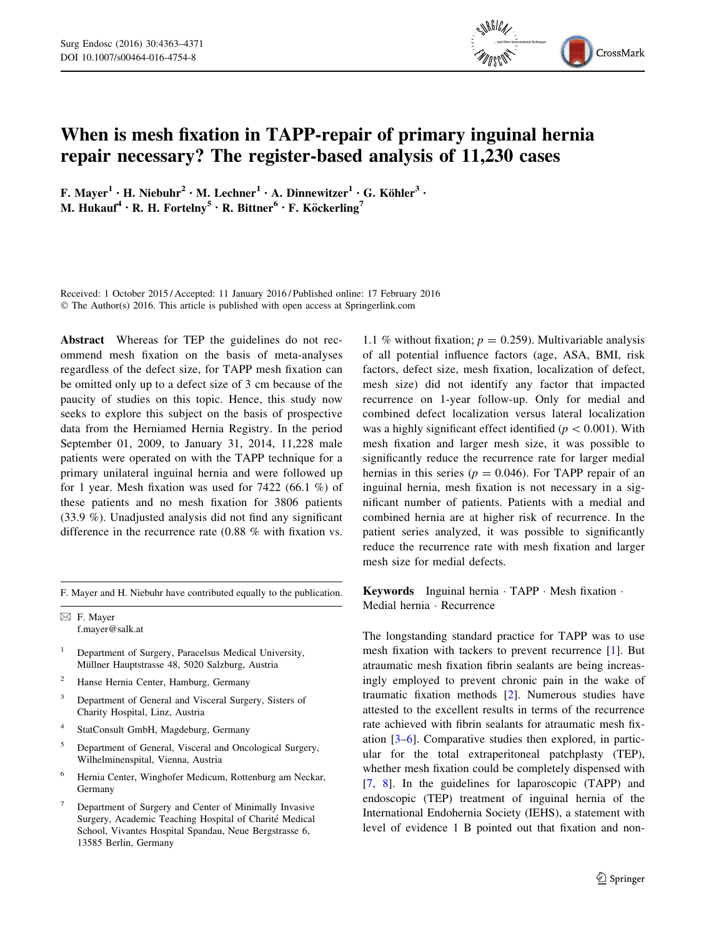

# When is mesh fixation in TAPP-repair of primary inguinal hernia repair necessary? The register-based analysis of 11,230 cases

F. Mayer<sup>1</sup> • H. Niebuhr<sup>2</sup> • M. Lechner<sup>1</sup> • A. Dinnewitzer<sup>1</sup> • G. Köhler<sup>3</sup> • M. Hukauf<sup>4</sup> · R. H. Fortelny<sup>5</sup> · R. Bittner<sup>6</sup> · F. Köckerling<sup>7</sup>

Received: 1 October 2015 / Accepted: 11 January 2016 / Published online: 17 February 2016 © The Author(s) 2016. This article is published with open access at Springerlink.com

Abstract Whereas for TEP the guidelines do not recommend mesh fixation on the basis of meta-analyses regardless of the defect size, for TAPP mesh fixation can be omitted only up to a defect size of 3 cm because of the paucity of studies on this topic. Hence, this study now seeks to explore this subject on the basis of prospective data from the Herniamed Hernia Registry. In the period September 01, 2009, to January 31, 2014, 11,228 male patients were operated on with the TAPP technique for a primary unilateral inguinal hernia and were followed up for 1 year. Mesh fixation was used for 7422 (66.1 %) of these patients and no mesh fixation for 3806 patients (33.9 %). Unadjusted analysis did not find any significant difference in the recurrence rate (0.88 % with fixation vs.

F. Mayer and H. Niebuhr have contributed equally to the publication.

 $\boxtimes$  F. Mayer f.mayer@salk.at

- <sup>1</sup> Department of Surgery, Paracelsus Medical University, Müllner Hauptstrasse 48, 5020 Salzburg, Austria
- <sup>2</sup> Hanse Hernia Center, Hamburg, Germany
- <sup>3</sup> Department of General and Visceral Surgery, Sisters of Charity Hospital, Linz, Austria
- <sup>4</sup> StatConsult GmbH, Magdeburg, Germany
- <sup>5</sup> Department of General, Visceral and Oncological Surgery, Wilhelminenspital, Vienna, Austria
- <sup>6</sup> Hernia Center, Winghofer Medicum, Rottenburg am Neckar, Germany
- Department of Surgery and Center of Minimally Invasive Surgery, Academic Teaching Hospital of Charité Medical School, Vivantes Hospital Spandau, Neue Bergstrasse 6, 13585 Berlin, Germany

1.1 % without fixation;  $p = 0.259$ ). Multivariable analysis of all potential influence factors (age, ASA, BMI, risk factors, defect size, mesh fixation, localization of defect, mesh size) did not identify any factor that impacted recurrence on 1-year follow-up. Only for medial and combined defect localization versus lateral localization was a highly significant effect identified ( $p \lt 0.001$ ). With mesh fixation and larger mesh size, it was possible to significantly reduce the recurrence rate for larger medial hernias in this series ( $p = 0.046$ ). For TAPP repair of an inguinal hernia, mesh fixation is not necessary in a significant number of patients. Patients with a medial and combined hernia are at higher risk of recurrence. In the patient series analyzed, it was possible to significantly reduce the recurrence rate with mesh fixation and larger mesh size for medial defects.

Keywords Inguinal hernia · TAPP · Mesh fixation · Medial hernia - Recurrence

The longstanding standard practice for TAPP was to use mesh fixation with tackers to prevent recurrence [\[1](#page-7-0)]. But atraumatic mesh fixation fibrin sealants are being increasingly employed to prevent chronic pain in the wake of traumatic fixation methods [[2\]](#page-7-0). Numerous studies have attested to the excellent results in terms of the recurrence rate achieved with fibrin sealants for atraumatic mesh fixation [\[3](#page-7-0)[–6](#page-8-0)]. Comparative studies then explored, in particular for the total extraperitoneal patchplasty (TEP), whether mesh fixation could be completely dispensed with [\[7](#page-8-0), [8\]](#page-8-0). In the guidelines for laparoscopic (TAPP) and endoscopic (TEP) treatment of inguinal hernia of the International Endohernia Society (IEHS), a statement with level of evidence 1 B pointed out that fixation and non-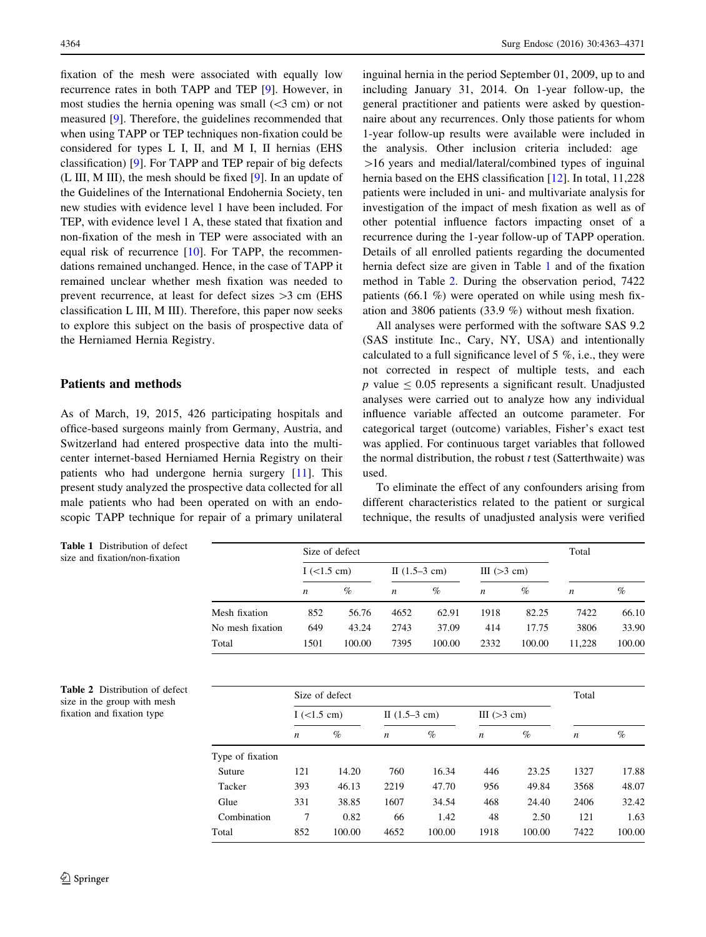<span id="page-1-0"></span>fixation of the mesh were associated with equally low recurrence rates in both TAPP and TEP [[9\]](#page-8-0). However, in most studies the hernia opening was small  $( $3$  cm) or not$ measured [[9\]](#page-8-0). Therefore, the guidelines recommended that when using TAPP or TEP techniques non-fixation could be considered for types L I, II, and M I, II hernias (EHS classification) [[9\]](#page-8-0). For TAPP and TEP repair of big defects (L III, M III), the mesh should be fixed [[9\]](#page-8-0). In an update of the Guidelines of the International Endohernia Society, ten new studies with evidence level 1 have been included. For TEP, with evidence level 1 A, these stated that fixation and non-fixation of the mesh in TEP were associated with an equal risk of recurrence [\[10](#page-8-0)]. For TAPP, the recommendations remained unchanged. Hence, in the case of TAPP it remained unclear whether mesh fixation was needed to prevent recurrence, at least for defect sizes  $>3$  cm (EHS) classification L III, M III). Therefore, this paper now seeks to explore this subject on the basis of prospective data of the Herniamed Hernia Registry.

### Patients and methods

As of March, 19, 2015, 426 participating hospitals and office-based surgeons mainly from Germany, Austria, and Switzerland had entered prospective data into the multicenter internet-based Herniamed Hernia Registry on their patients who had undergone hernia surgery [[11\]](#page-8-0). This present study analyzed the prospective data collected for all male patients who had been operated on with an endoscopic TAPP technique for repair of a primary unilateral

inguinal hernia in the period September 01, 2009, up to and including January 31, 2014. On 1-year follow-up, the general practitioner and patients were asked by questionnaire about any recurrences. Only those patients for whom 1-year follow-up results were available were included in the analysis. Other inclusion criteria included: age  $>16$  years and medial/lateral/combined types of inguinal hernia based on the EHS classification [\[12](#page-8-0)]. In total, 11,228 patients were included in uni- and multivariate analysis for investigation of the impact of mesh fixation as well as of other potential influence factors impacting onset of a recurrence during the 1-year follow-up of TAPP operation. Details of all enrolled patients regarding the documented hernia defect size are given in Table 1 and of the fixation method in Table 2. During the observation period, 7422 patients (66.1 %) were operated on while using mesh fixation and 3806 patients (33.9 %) without mesh fixation.

All analyses were performed with the software SAS 9.2 (SAS institute Inc., Cary, NY, USA) and intentionally calculated to a full significance level of 5 %, i.e., they were not corrected in respect of multiple tests, and each p value  $\leq 0.05$  represents a significant result. Unadjusted analyses were carried out to analyze how any individual influence variable affected an outcome parameter. For categorical target (outcome) variables, Fisher's exact test was applied. For continuous target variables that followed the normal distribution, the robust  $t$  test (Satterthwaite) was used.

To eliminate the effect of any confounders arising from different characteristics related to the patient or surgical technique, the results of unadjusted analysis were verified

| <b>Table 1</b> Distribution of defect<br>size and fixation/non-fixation |                  | Size of defect |        |                  |        |                  |        |                  | Total  |  |
|-------------------------------------------------------------------------|------------------|----------------|--------|------------------|--------|------------------|--------|------------------|--------|--|
|                                                                         |                  | $I$ (<1.5 cm)  |        | II $(1.5-3$ cm)  |        | III $(>3$ cm)    |        |                  |        |  |
|                                                                         |                  | n              | $\%$   | $\boldsymbol{n}$ | $\%$   | $\boldsymbol{n}$ | $\%$   | $\boldsymbol{n}$ | %      |  |
|                                                                         | Mesh fixation    | 852            | 56.76  | 4652             | 62.91  | 1918             | 82.25  | 7422             | 66.10  |  |
|                                                                         | No mesh fixation | 649            | 43.24  | 2743             | 37.09  | 414              | 17.75  | 3806             | 33.90  |  |
|                                                                         | Total            | 1501           | 100.00 | 7395             | 100.00 | 2332             | 100.00 | 11.228           | 100.00 |  |

Table 2 Distribution of defect size in the group with mesh fixation and fixation type

|                  |                  | Size of defect | Total            |        |                  |        |      |        |
|------------------|------------------|----------------|------------------|--------|------------------|--------|------|--------|
|                  | $I$ (<1.5 cm)    |                | II $(1.5-3$ cm)  |        | III $(>3$ cm)    |        |      |        |
|                  | $\boldsymbol{n}$ | $\%$           | $\boldsymbol{n}$ | $\%$   | $\boldsymbol{n}$ | $\%$   | n    | $\%$   |
| Type of fixation |                  |                |                  |        |                  |        |      |        |
| Suture           | 121              | 14.20          | 760              | 16.34  | 446              | 23.25  | 1327 | 17.88  |
| Tacker           | 393              | 46.13          | 2219             | 47.70  | 956              | 49.84  | 3568 | 48.07  |
| Glue             | 331              | 38.85          | 1607             | 34.54  | 468              | 24.40  | 2406 | 32.42  |
| Combination      | 7                | 0.82           | 66               | 1.42   | 48               | 2.50   | 121  | 1.63   |
| Total            | 852              | 100.00         | 4652             | 100.00 | 1918             | 100.00 | 7422 | 100.00 |
|                  |                  |                |                  |        |                  |        |      |        |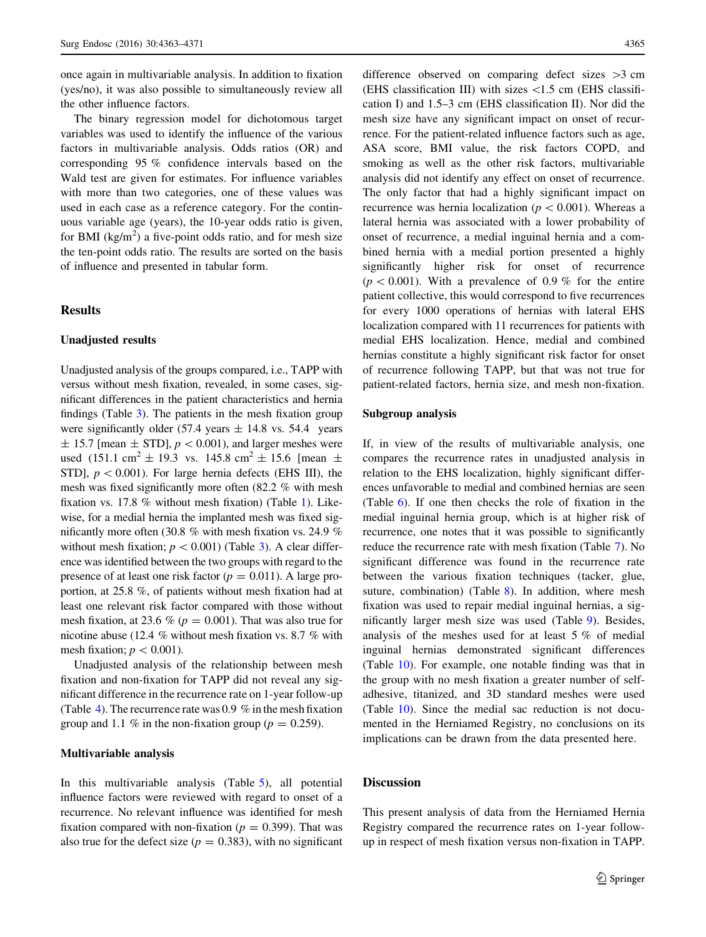once again in multivariable analysis. In addition to fixation (yes/no), it was also possible to simultaneously review all the other influence factors.

The binary regression model for dichotomous target variables was used to identify the influence of the various factors in multivariable analysis. Odds ratios (OR) and corresponding 95 % confidence intervals based on the Wald test are given for estimates. For influence variables with more than two categories, one of these values was used in each case as a reference category. For the continuous variable age (years), the 10-year odds ratio is given, for BMI  $(kg/m<sup>2</sup>)$  a five-point odds ratio, and for mesh size the ten-point odds ratio. The results are sorted on the basis of influence and presented in tabular form.

# **Results**

#### Unadiusted results

Unadjusted analysis of the groups compared, i.e., TAPP with versus without mesh fixation, revealed, in some cases, significant differences in the patient characteristics and hernia findings (Table  $3$ ). The patients in the mesh fixation group were significantly older (57.4 years  $\pm$  14.8 vs. 54.4 years  $\pm$  15.7 [mean  $\pm$  STD],  $p < 0.001$ ), and larger meshes were used (151.1 cm<sup>2</sup>  $\pm$  19.3 vs. 145.8 cm<sup>2</sup>  $\pm$  15.6 [mean  $\pm$ STD],  $p < 0.001$ ). For large hernia defects (EHS III), the mesh was fixed significantly more often (82.2 % with mesh fixation vs. 17.8 % without mesh fixation) (Table [1\)](#page-1-0). Likewise, for a medial hernia the implanted mesh was fixed significantly more often (30.8 % with mesh fixation vs. 24.9 % without mesh fixation;  $p < 0.001$ ) (Table [3](#page-3-0)). A clear difference was identified between the two groups with regard to the presence of at least one risk factor ( $p = 0.011$ ). A large proportion, at 25.8 %, of patients without mesh fixation had at least one relevant risk factor compared with those without mesh fixation, at 23.6 % ( $p = 0.001$ ). That was also true for nicotine abuse (12.4 % without mesh fixation vs. 8.7 % with mesh fixation;  $p \lt 0.001$ ).

Unadjusted analysis of the relationship between mesh fixation and non-fixation for TAPP did not reveal any significant difference in the recurrence rate on 1-year follow-up (Table [4](#page-4-0)). The recurrence rate was 0.9 % in the mesh fixation group and 1.1 % in the non-fixation group ( $p = 0.259$ ).

#### Multivariable analysis

In this multivariable analysis (Table [5](#page-4-0)), all potential influence factors were reviewed with regard to onset of a recurrence. No relevant influence was identified for mesh fixation compared with non-fixation ( $p = 0.399$ ). That was also true for the defect size ( $p = 0.383$ ), with no significant difference observed on comparing defect sizes  $>3$  cm (EHS classification III) with sizes  $\langle 1.5 \text{ cm}$  (EHS classification I) and 1.5–3 cm (EHS classification II). Nor did the mesh size have any significant impact on onset of recurrence. For the patient-related influence factors such as age, ASA score, BMI value, the risk factors COPD, and smoking as well as the other risk factors, multivariable analysis did not identify any effect on onset of recurrence. The only factor that had a highly significant impact on recurrence was hernia localization ( $p \lt 0.001$ ). Whereas a lateral hernia was associated with a lower probability of onset of recurrence, a medial inguinal hernia and a combined hernia with a medial portion presented a highly significantly higher risk for onset of recurrence  $(p<0.001)$ . With a prevalence of 0.9 % for the entire patient collective, this would correspond to five recurrences for every 1000 operations of hernias with lateral EHS localization compared with 11 recurrences for patients with medial EHS localization. Hence, medial and combined hernias constitute a highly significant risk factor for onset of recurrence following TAPP, but that was not true for patient-related factors, hernia size, and mesh non-fixation.

#### Subgroup analysis

If, in view of the results of multivariable analysis, one compares the recurrence rates in unadjusted analysis in relation to the EHS localization, highly significant differences unfavorable to medial and combined hernias are seen (Table [6\)](#page-4-0). If one then checks the role of fixation in the medial inguinal hernia group, which is at higher risk of recurrence, one notes that it was possible to significantly reduce the recurrence rate with mesh fixation (Table [7\)](#page-4-0). No significant difference was found in the recurrence rate between the various fixation techniques (tacker, glue, suture, combination) (Table [8](#page-5-0)). In addition, where mesh fixation was used to repair medial inguinal hernias, a significantly larger mesh size was used (Table [9](#page-5-0)). Besides, analysis of the meshes used for at least 5 % of medial inguinal hernias demonstrated significant differences (Table [10\)](#page-5-0). For example, one notable finding was that in the group with no mesh fixation a greater number of selfadhesive, titanized, and 3D standard meshes were used (Table [10\)](#page-5-0). Since the medial sac reduction is not documented in the Herniamed Registry, no conclusions on its implications can be drawn from the data presented here.

# Discussion

This present analysis of data from the Herniamed Hernia Registry compared the recurrence rates on 1-year followup in respect of mesh fixation versus non-fixation in TAPP.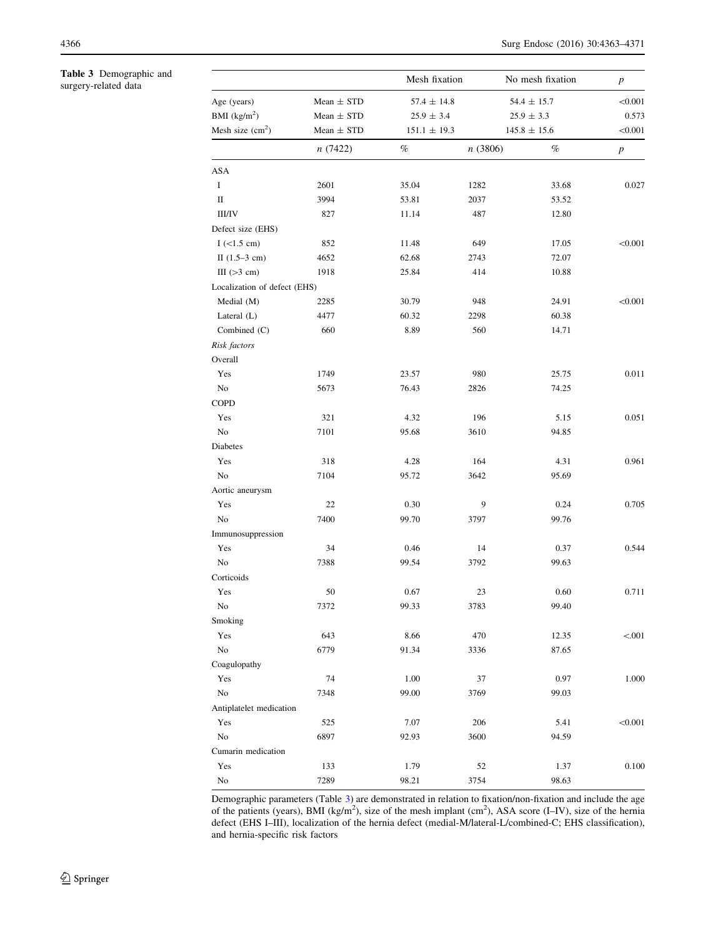<span id="page-3-0"></span>Table 3 Demographic and surgery-related data

|                              |                | Mesh fixation    |         | No mesh fixation | p                |
|------------------------------|----------------|------------------|---------|------------------|------------------|
| Age (years)                  | Mean $\pm$ STD | $57.4 \pm 14.8$  |         | $54.4 \pm 15.7$  | < 0.001          |
| BMI $(kg/m2)$                | Mean $\pm$ STD | $25.9 \pm 3.4$   |         | $25.9 \pm 3.3$   | 0.573            |
| Mesh size $(cm2)$            | Mean $\pm$ STD | $151.1 \pm 19.3$ |         | $145.8 \pm 15.6$ | < 0.001          |
|                              | n(7422)        | $\%$             | n(3806) | $\%$             | $\boldsymbol{p}$ |
| ASA                          |                |                  |         |                  |                  |
| I                            | 2601           | 35.04            | 1282    | 33.68            | 0.027            |
| П                            | 3994           | 53.81            | 2037    | 53.52            |                  |
| <b>III/IV</b>                | 827            | 11.14            | 487     | 12.80            |                  |
| Defect size (EHS)            |                |                  |         |                  |                  |
| $I$ (<1.5 cm)                | 852            | 11.48            | 649     | 17.05            | < 0.001          |
| II $(1.5-3$ cm)              | 4652           | 62.68            | 2743    | 72.07            |                  |
| III $(>3$ cm)                | 1918           | 25.84            | 414     | 10.88            |                  |
| Localization of defect (EHS) |                |                  |         |                  |                  |
| Medial (M)                   | 2285           | 30.79            | 948     | 24.91            | < 0.001          |
| Lateral (L)                  | 4477           | 60.32            | 2298    | 60.38            |                  |
| Combined (C)                 | 660            | 8.89             | 560     | 14.71            |                  |
| Risk factors                 |                |                  |         |                  |                  |
| Overall                      |                |                  |         |                  |                  |
| Yes                          | 1749           | 23.57            | 980     | 25.75            | 0.011            |
| No                           | 5673           | 76.43            | 2826    | 74.25            |                  |
| COPD                         |                |                  |         |                  |                  |
| Yes                          | 321            | 4.32             | 196     | 5.15             | 0.051            |
| No                           | 7101           | 95.68            | 3610    | 94.85            |                  |
| Diabetes                     |                |                  |         |                  |                  |
| Yes                          | 318            | 4.28             | 164     | 4.31             | 0.961            |
| No                           | 7104           | 95.72            | 3642    | 95.69            |                  |
| Aortic aneurysm              |                |                  |         |                  |                  |
| Yes                          | 22             | 0.30             | 9       | 0.24             | 0.705            |
| No                           | 7400           | 99.70            | 3797    | 99.76            |                  |
| Immunosuppression            |                |                  |         |                  |                  |
| Yes                          | 34             | 0.46             | 14      | 0.37             | 0.544            |
| No                           | 7388           | 99.54            | 3792    | 99.63            |                  |
| Corticoids                   |                |                  |         |                  |                  |
| Yes                          | 50             | 0.67             | 23      | 0.60             | 0.711            |
| $\rm No$                     | 7372           | 99.33            | 3783    | 99.40            |                  |
| Smoking                      |                |                  |         |                  |                  |
| Yes                          | 643            | 8.66             | 470     | 12.35            | < 0.001          |
| $\rm No$                     | 6779           | 91.34            | 3336    | 87.65            |                  |
| Coagulopathy                 |                |                  |         |                  |                  |
| Yes                          | 74             | 1.00             | 37      | 0.97             | 1.000            |
| No                           | 7348           | 99.00            | 3769    | 99.03            |                  |
| Antiplatelet medication      |                |                  |         |                  |                  |
| Yes                          | 525            | 7.07             | 206     | 5.41             | < 0.001          |
| No                           | 6897           | 92.93            | 3600    | 94.59            |                  |
| Cumarin medication           |                |                  |         |                  |                  |
| Yes                          | 133            | 1.79             | 52      | 1.37             | 0.100            |
| $\rm No$                     | 7289           | 98.21            | 3754    | 98.63            |                  |

Demographic parameters (Table 3) are demonstrated in relation to fixation/non-fixation and include the age of the patients (years), BMI (kg/m<sup>2</sup>), size of the mesh implant (cm<sup>2</sup>), ASA score (I–IV), size of the hernia defect (EHS I–III), localization of the hernia defect (medial-M/lateral-L/combined-C; EHS classification), and hernia-specific risk factors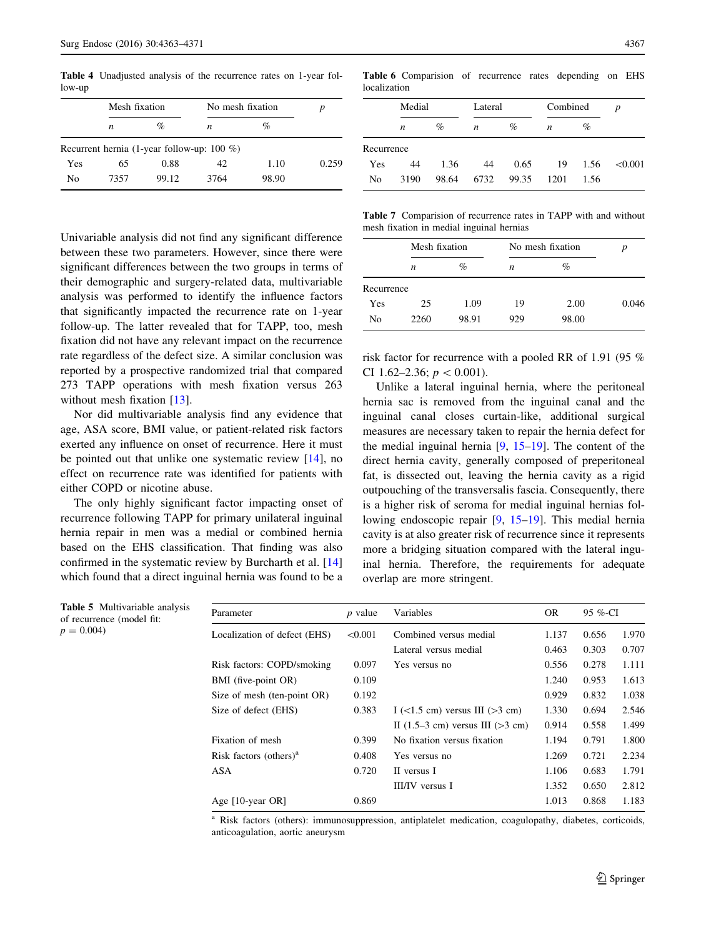<span id="page-4-0"></span>Table 4 Unadjusted analysis of the recurrence rates on 1-year follow-up

|     | Mesh fixation |                                               | No mesh fixation | D     |       |
|-----|---------------|-----------------------------------------------|------------------|-------|-------|
|     | n             | $\%$                                          | n                | %     |       |
|     |               | Recurrent hernia (1-year follow-up: $100\%$ ) |                  |       |       |
| Yes | 65            | 0.88                                          | 42               | 1.10  | 0.259 |
| No  | 7357          | 99.12                                         | 3764             | 98.90 |       |
|     |               |                                               |                  |       |       |

Univariable analysis did not find any significant difference between these two parameters. However, since there were significant differences between the two groups in terms of their demographic and surgery-related data, multivariable analysis was performed to identify the influence factors that significantly impacted the recurrence rate on 1-year follow-up. The latter revealed that for TAPP, too, mesh fixation did not have any relevant impact on the recurrence rate regardless of the defect size. A similar conclusion was reported by a prospective randomized trial that compared 273 TAPP operations with mesh fixation versus 263 without mesh fixation [[13\]](#page-8-0).

Nor did multivariable analysis find any evidence that age, ASA score, BMI value, or patient-related risk factors exerted any influence on onset of recurrence. Here it must be pointed out that unlike one systematic review [[14\]](#page-8-0), no effect on recurrence rate was identified for patients with either COPD or nicotine abuse.

The only highly significant factor impacting onset of recurrence following TAPP for primary unilateral inguinal hernia repair in men was a medial or combined hernia based on the EHS classification. That finding was also confirmed in the systematic review by Burcharth et al. [[14\]](#page-8-0) which found that a direct inguinal hernia was found to be a

Table 6 Comparision of recurrence rates depending on EHS localization

|            | Medial |       |      | Lateral |      | Combined |         |
|------------|--------|-------|------|---------|------|----------|---------|
|            | n      | $\%$  | n    | $\%$    | n    | $\%$     |         |
| Recurrence |        |       |      |         |      |          |         |
| Yes        | 44     | 1.36  | 44   | 0.65    | 19   | 1.56     | < 0.001 |
| No         | 3190   | 98.64 | 6732 | 99.35   | 1201 | 1.56     |         |

Table 7 Comparision of recurrence rates in TAPP with and without mesh fixation in medial inguinal hernias

|            | Mesh fixation |       | No mesh fixation | D     |       |
|------------|---------------|-------|------------------|-------|-------|
|            | n             | $\%$  | n                | %     |       |
| Recurrence |               |       |                  |       |       |
| Yes        | 25            | 1.09  | 19               | 2.00  | 0.046 |
| No         | 2260          | 98.91 | 929              | 98.00 |       |

risk factor for recurrence with a pooled RR of 1.91 (95 % CI 1.62–2.36;  $p < 0.001$ ).

Unlike a lateral inguinal hernia, where the peritoneal hernia sac is removed from the inguinal canal and the inguinal canal closes curtain-like, additional surgical measures are necessary taken to repair the hernia defect for the medial inguinal hernia  $[9, 15-19]$  $[9, 15-19]$  $[9, 15-19]$ . The content of the direct hernia cavity, generally composed of preperitoneal fat, is dissected out, leaving the hernia cavity as a rigid outpouching of the transversalis fascia. Consequently, there is a higher risk of seroma for medial inguinal hernias following endoscopic repair [[9,](#page-8-0) [15–19](#page-8-0)]. This medial hernia cavity is at also greater risk of recurrence since it represents more a bridging situation compared with the lateral inguinal hernia. Therefore, the requirements for adequate overlap are more stringent.

| <b>Table 5</b> Multivariable analysis<br>of recurrence (model fit:<br>$p = 0.004$ | Parameter                    | $p$ value | Variables                            | <b>OR</b> | 95 %-CI |       |
|-----------------------------------------------------------------------------------|------------------------------|-----------|--------------------------------------|-----------|---------|-------|
|                                                                                   | Localization of defect (EHS) | < 0.001   | Combined versus medial               | 1.137     | 0.656   | 1.970 |
|                                                                                   |                              |           | Lateral versus medial                | 0.463     | 0.303   | 0.707 |
|                                                                                   | Risk factors: COPD/smoking   | 0.097     | Yes versus no                        | 0.556     | 0.278   | 1.111 |
|                                                                                   | BMI (five-point OR)          | 0.109     |                                      | 1.240     | 0.953   | 1.613 |
|                                                                                   | Size of mesh (ten-point OR)  | 0.192     |                                      | 0.929     | 0.832   | 1.038 |
|                                                                                   | Size of defect (EHS)         | 0.383     | I $(<1.5$ cm) versus III $(>3$ cm)   | 1.330     | 0.694   | 2.546 |
|                                                                                   |                              |           | II $(1.5-3$ cm) versus III $(>3$ cm) | 0.914     | 0.558   | 1.499 |
|                                                                                   | Fixation of mesh             | 0.399     | No fixation versus fixation          | 1.194     | 0.791   | 1.800 |
|                                                                                   | Risk factors (others) $a$    | 0.408     | Yes versus no                        | 1.269     | 0.721   | 2.234 |
|                                                                                   | <b>ASA</b>                   | 0.720     | II versus I                          | 1.106     | 0.683   | 1.791 |
|                                                                                   |                              |           | III/IV versus I                      | 1.352     | 0.650   | 2.812 |
|                                                                                   | Age $[10$ -year OR]          | 0.869     |                                      | 1.013     | 0.868   | 1.183 |

<sup>a</sup> Risk factors (others): immunosuppression, antiplatelet medication, coagulopathy, diabetes, corticoids, anticoagulation, aortic aneurysm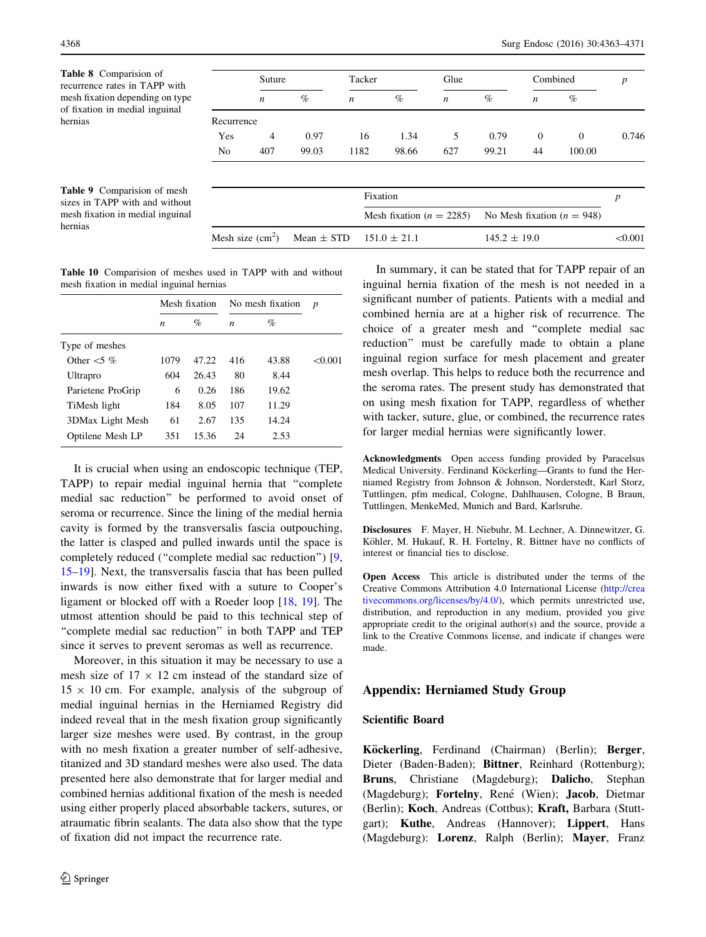hernias

<span id="page-5-0"></span>Table 8 Comparision of recurrence rates in TAPP with mesh fixation depending on type of fixation in medial inguinal hernias

Table 9 Comparision of mesh sizes in TAPP with and without mesh fixation in medial inguinal

|                   | Suture           |                | Tacker           | Glue                         |                  | Combined         |                  | $\boldsymbol{p}$               |                  |
|-------------------|------------------|----------------|------------------|------------------------------|------------------|------------------|------------------|--------------------------------|------------------|
|                   | $\boldsymbol{n}$ | $\%$           | $\boldsymbol{n}$ | $\%$                         | $\boldsymbol{n}$ | $\%$             | $\boldsymbol{n}$ | $\%$                           |                  |
| Recurrence        |                  |                |                  |                              |                  |                  |                  |                                |                  |
| Yes               | 4                | 0.97           | 16               | 1.34                         | 5                | 0.79             | $\overline{0}$   | $\theta$                       | 0.746            |
| N <sub>0</sub>    | 407              | 99.03          | 1182             | 98.66                        | 627              | 99.21            | 44               | 100.00                         |                  |
|                   |                  |                |                  | Fixation                     |                  |                  |                  |                                | $\boldsymbol{p}$ |
|                   |                  |                |                  | Mesh fixation ( $n = 2285$ ) |                  |                  |                  | No Mesh fixation ( $n = 948$ ) |                  |
| Mesh size $(cm2)$ |                  | Mean $\pm$ STD |                  | $151.0 \pm 21.1$             |                  | $145.2 \pm 19.0$ |                  |                                | < 0.001          |

Table 10 Comparision of meshes used in TAPP with and without mesh fixation in medial inguinal hernias

| Mesh fixation |       |                  | $\boldsymbol{p}$ |                  |
|---------------|-------|------------------|------------------|------------------|
| n             | $\%$  | $\boldsymbol{n}$ | $\%$             |                  |
|               |       |                  |                  |                  |
| 1079          | 47.22 | 416              | 43.88            | < 0.001          |
| 604           | 26.43 | 80               | 8.44             |                  |
| 6             | 0.26  | 186              | 19.62            |                  |
| 184           | 8.05  | 107              | 11.29            |                  |
| 61            | 2.67  | 135              | 14.24            |                  |
| 351           | 15.36 | 24               | 2.53             |                  |
|               |       |                  |                  | No mesh fixation |

It is crucial when using an endoscopic technique (TEP, TAPP) to repair medial inguinal hernia that ''complete medial sac reduction'' be performed to avoid onset of seroma or recurrence. Since the lining of the medial hernia cavity is formed by the transversalis fascia outpouching, the latter is clasped and pulled inwards until the space is completely reduced (''complete medial sac reduction'') [[9,](#page-8-0) [15](#page-8-0)–[19\]](#page-8-0). Next, the transversalis fascia that has been pulled inwards is now either fixed with a suture to Cooper's ligament or blocked off with a Roeder loop [\[18](#page-8-0), [19](#page-8-0)]. The utmost attention should be paid to this technical step of "complete medial sac reduction" in both TAPP and TEP since it serves to prevent seromas as well as recurrence.

Moreover, in this situation it may be necessary to use a mesh size of  $17 \times 12$  cm instead of the standard size of  $15 \times 10$  cm. For example, analysis of the subgroup of medial inguinal hernias in the Herniamed Registry did indeed reveal that in the mesh fixation group significantly larger size meshes were used. By contrast, in the group with no mesh fixation a greater number of self-adhesive, titanized and 3D standard meshes were also used. The data presented here also demonstrate that for larger medial and combined hernias additional fixation of the mesh is needed using either properly placed absorbable tackers, sutures, or atraumatic fibrin sealants. The data also show that the type of fixation did not impact the recurrence rate.

In summary, it can be stated that for TAPP repair of an inguinal hernia fixation of the mesh is not needed in a significant number of patients. Patients with a medial and combined hernia are at a higher risk of recurrence. The choice of a greater mesh and ''complete medial sac reduction'' must be carefully made to obtain a plane inguinal region surface for mesh placement and greater mesh overlap. This helps to reduce both the recurrence and the seroma rates. The present study has demonstrated that on using mesh fixation for TAPP, regardless of whether with tacker, suture, glue, or combined, the recurrence rates for larger medial hernias were significantly lower.

Acknowledgments Open access funding provided by Paracelsus Medical University. Ferdinand Köckerling-Grants to fund the Herniamed Registry from Johnson & Johnson, Norderstedt, Karl Storz, Tuttlingen, pfm medical, Cologne, Dahlhausen, Cologne, B Braun, Tuttlingen, MenkeMed, Munich and Bard, Karlsruhe.

Disclosures F. Mayer, H. Niebuhr, M. Lechner, A. Dinnewitzer, G. Köhler, M. Hukauf, R. H. Fortelny, R. Bittner have no conflicts of interest or financial ties to disclose.

Open Access This article is distributed under the terms of the Creative Commons Attribution 4.0 International License ([http://crea](http://creativecommons.org/licenses/by/4.0/) [tivecommons.org/licenses/by/4.0/\)](http://creativecommons.org/licenses/by/4.0/), which permits unrestricted use, distribution, and reproduction in any medium, provided you give appropriate credit to the original author(s) and the source, provide a link to the Creative Commons license, and indicate if changes were made.

## Appendix: Herniamed Study Group

## Scientific Board

Köckerling, Ferdinand (Chairman) (Berlin); Berger, Dieter (Baden-Baden); Bittner, Reinhard (Rottenburg); Bruns, Christiane (Magdeburg); Dalicho, Stephan (Magdeburg); Fortelny, René (Wien); Jacob, Dietmar (Berlin); Koch, Andreas (Cottbus); Kraft, Barbara (Stuttgart); Kuthe, Andreas (Hannover); Lippert, Hans (Magdeburg): Lorenz, Ralph (Berlin); Mayer, Franz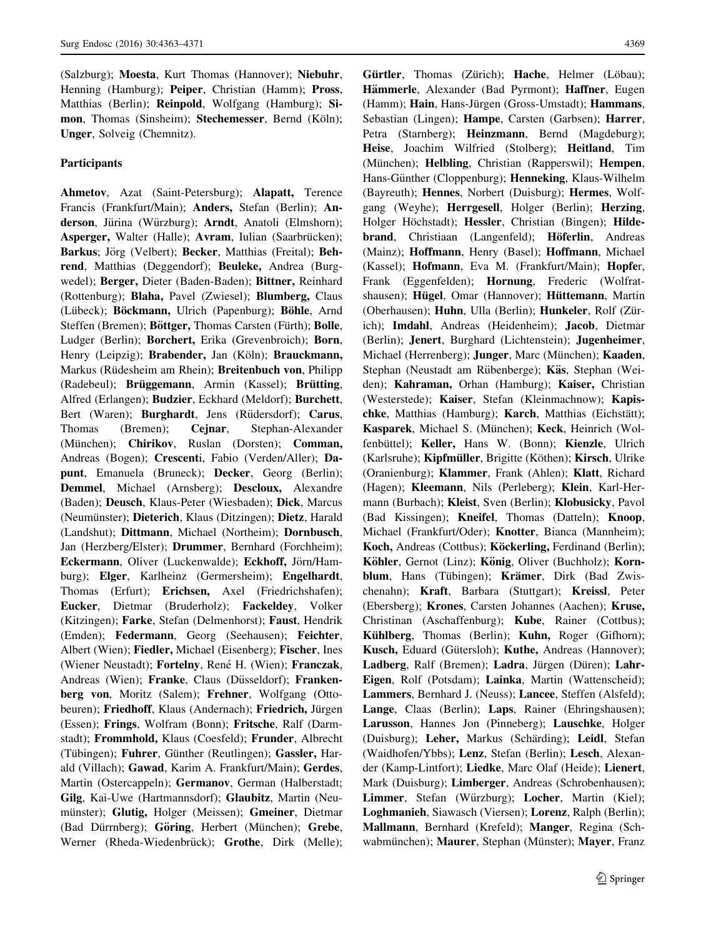(Salzburg); Moesta, Kurt Thomas (Hannover); Niebuhr, Henning (Hamburg); Peiper, Christian (Hamm); Pross, Matthias (Berlin); Reinpold, Wolfgang (Hamburg); Simon, Thomas (Sinsheim); Stechemesser, Bernd (Köln); Unger, Solveig (Chemnitz).

# **Participants**

Ahmetov, Azat (Saint-Petersburg); Alapatt, Terence Francis (Frankfurt/Main); Anders, Stefan (Berlin); Anderson, Jürina (Würzburg); Arndt, Anatoli (Elmshorn); Asperger, Walter (Halle); Avram, Iulian (Saarbrücken); Barkus; Jörg (Velbert); Becker, Matthias (Freital); Behrend, Matthias (Deggendorf); Beuleke, Andrea (Burgwedel); Berger, Dieter (Baden-Baden); Bittner, Reinhard (Rottenburg); Blaha, Pavel (Zwiesel); Blumberg, Claus (Lübeck); Böckmann, Ulrich (Papenburg); Böhle, Arnd Steffen (Bremen); Böttger, Thomas Carsten (Fürth); Bolle, Ludger (Berlin); Borchert, Erika (Grevenbroich); Born, Henry (Leipzig); Brabender, Jan (Köln); Brauckmann, Markus (Rüdesheim am Rhein); Breitenbuch von, Philipp (Radebeul); Brüggemann, Armin (Kassel); Brütting, Alfred (Erlangen); Budzier, Eckhard (Meldorf); Burchett, Bert (Waren); Burghardt, Jens (Rüdersdorf); Carus, Thomas (Bremen); Cejnar, Stephan-Alexander (München); Chirikov, Ruslan (Dorsten); Comman, Andreas (Bogen); Crescenti, Fabio (Verden/Aller); Dapunt, Emanuela (Bruneck); Decker, Georg (Berlin); Demmel, Michael (Arnsberg); Descloux, Alexandre (Baden); Deusch, Klaus-Peter (Wiesbaden); Dick, Marcus (Neumünster); Dieterich, Klaus (Ditzingen); Dietz, Harald (Landshut); Dittmann, Michael (Northeim); Dornbusch, Jan (Herzberg/Elster); Drummer, Bernhard (Forchheim); Eckermann, Oliver (Luckenwalde); Eckhoff, Jörn/Hamburg); Elger, Karlheinz (Germersheim); Engelhardt, Thomas (Erfurt); Erichsen, Axel (Friedrichshafen); Eucker, Dietmar (Bruderholz); Fackeldey, Volker (Kitzingen); Farke, Stefan (Delmenhorst); Faust, Hendrik (Emden); Federmann, Georg (Seehausen); Feichter, Albert (Wien); Fiedler, Michael (Eisenberg); Fischer, Ines (Wiener Neustadt); Fortelny, René H. (Wien); Franczak, Andreas (Wien); Franke, Claus (Düsseldorf); Frankenberg von, Moritz (Salem); Frehner, Wolfgang (Ottobeuren); Friedhoff, Klaus (Andernach); Friedrich, Jürgen (Essen); Frings, Wolfram (Bonn); Fritsche, Ralf (Darmstadt); Frommhold, Klaus (Coesfeld); Frunder, Albrecht (Tübingen); Fuhrer, Günther (Reutlingen); Gassler, Harald (Villach); Gawad, Karim A. Frankfurt/Main); Gerdes, Martin (Ostercappeln); Germanov, German (Halberstadt; Gilg, Kai-Uwe (Hartmannsdorf); Glaubitz, Martin (Neumünster); Glutig, Holger (Meissen); Gmeiner, Dietmar (Bad Dürrnberg); Göring, Herbert (München); Grebe, Werner (Rheda-Wiedenbrück); Grothe, Dirk (Melle); Gürtler, Thomas (Zürich); Hache, Helmer (Löbau); Hämmerle, Alexander (Bad Pyrmont); Haffner, Eugen (Hamm); Hain, Hans-Jürgen (Gross-Umstadt); Hammans, Sebastian (Lingen); Hampe, Carsten (Garbsen); Harrer, Petra (Starnberg); Heinzmann, Bernd (Magdeburg); Heise, Joachim Wilfried (Stolberg); Heitland, Tim (München); Helbling, Christian (Rapperswil); Hempen, Hans-Günther (Cloppenburg); **Henneking**, Klaus-Wilhelm (Bayreuth); Hennes, Norbert (Duisburg); Hermes, Wolfgang (Weyhe); Herrgesell, Holger (Berlin); Herzing, Holger Höchstadt); Hessler, Christian (Bingen); Hildebrand, Christiaan (Langenfeld); Höferlin, Andreas (Mainz); Hoffmann, Henry (Basel); Hoffmann, Michael (Kassel); Hofmann, Eva M. (Frankfurt/Main); Hopfer, Frank (Eggenfelden); Hornung, Frederic (Wolfratshausen); Hügel, Omar (Hannover); Hüttemann, Martin (Oberhausen); Huhn, Ulla (Berlin); Hunkeler, Rolf (Zürich); Imdahl, Andreas (Heidenheim); Jacob, Dietmar (Berlin); Jenert, Burghard (Lichtenstein); Jugenheimer, Michael (Herrenberg); Junger, Marc (München); Kaaden, Stephan (Neustadt am Rübenberge); Käs, Stephan (Weiden); Kahraman, Orhan (Hamburg); Kaiser, Christian (Westerstede); Kaiser, Stefan (Kleinmachnow); Kapischke, Matthias (Hamburg); Karch, Matthias (Eichstätt); Kasparek, Michael S. (München); Keck, Heinrich (Wolfenbüttel); Keller, Hans W. (Bonn); Kienzle, Ulrich (Karlsruhe); Kipfmüller, Brigitte (Köthen); Kirsch, Ulrike (Oranienburg); Klammer, Frank (Ahlen); Klatt, Richard (Hagen); Kleemann, Nils (Perleberg); Klein, Karl-Hermann (Burbach); Kleist, Sven (Berlin); Klobusicky, Pavol (Bad Kissingen); Kneifel, Thomas (Datteln); Knoop, Michael (Frankfurt/Oder); Knotter, Bianca (Mannheim); Koch, Andreas (Cottbus); Köckerling, Ferdinand (Berlin); Köhler, Gernot (Linz); König, Oliver (Buchholz); Kornblum, Hans (Tübingen); Krämer, Dirk (Bad Zwischenahn); Kraft, Barbara (Stuttgart); Kreissl, Peter (Ebersberg); Krones, Carsten Johannes (Aachen); Kruse, Christinan (Aschaffenburg); Kube, Rainer (Cottbus); Kühlberg, Thomas (Berlin); Kuhn, Roger (Gifhorn); Kusch, Eduard (Gütersloh); Kuthe, Andreas (Hannover); Ladberg, Ralf (Bremen); Ladra, Jürgen (Düren); Lahr-Eigen, Rolf (Potsdam); Lainka, Martin (Wattenscheid); Lammers, Bernhard J. (Neuss); Lancee, Steffen (Alsfeld); Lange, Claas (Berlin); Laps, Rainer (Ehringshausen); Larusson, Hannes Jon (Pinneberg); Lauschke, Holger (Duisburg); Leher, Markus (Schärding); Leidl, Stefan (Waidhofen/Ybbs); Lenz, Stefan (Berlin); Lesch, Alexander (Kamp-Lintfort); Liedke, Marc Olaf (Heide); Lienert, Mark (Duisburg); Limberger, Andreas (Schrobenhausen); Limmer, Stefan (Würzburg); Locher, Martin (Kiel); Loghmanieh, Siawasch (Viersen); Lorenz, Ralph (Berlin); Mallmann, Bernhard (Krefeld); Manger, Regina (Schwabmünchen); Maurer, Stephan (Münster); Mayer, Franz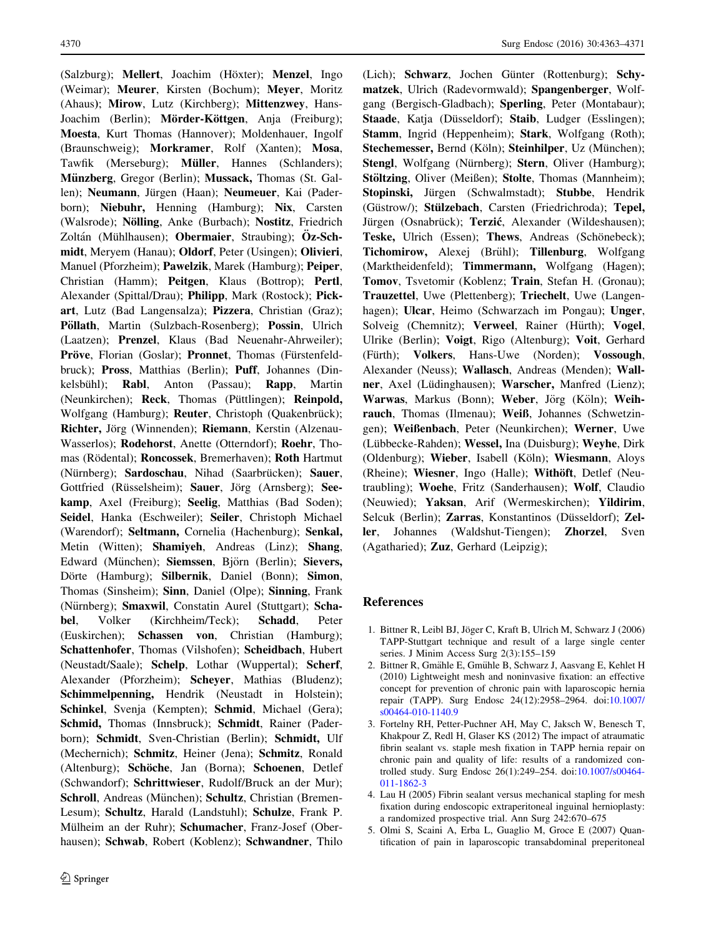<span id="page-7-0"></span>(Salzburg); Mellert, Joachim (Höxter); Menzel, Ingo (Weimar); Meurer, Kirsten (Bochum); Meyer, Moritz (Ahaus); Mirow, Lutz (Kirchberg); Mittenzwey, Hans-Joachim (Berlin); Mörder-Köttgen, Anja (Freiburg); Moesta, Kurt Thomas (Hannover); Moldenhauer, Ingolf (Braunschweig); Morkramer, Rolf (Xanten); Mosa, Tawfik (Merseburg); Müller, Hannes (Schlanders); Münzberg, Gregor (Berlin); Mussack, Thomas (St. Gallen); Neumann, Jürgen (Haan); Neumeuer, Kai (Paderborn); Niebuhr, Henning (Hamburg); Nix, Carsten (Walsrode); Nölling, Anke (Burbach); Nostitz, Friedrich Zoltán (Mühlhausen); Obermaier, Straubing); Öz-Schmidt, Meryem (Hanau); Oldorf, Peter (Usingen); Olivieri, Manuel (Pforzheim); Pawelzik, Marek (Hamburg); Peiper, Christian (Hamm); Peitgen, Klaus (Bottrop); Pertl, Alexander (Spittal/Drau); Philipp, Mark (Rostock); Pickart, Lutz (Bad Langensalza); Pizzera, Christian (Graz); Pöllath, Martin (Sulzbach-Rosenberg); Possin, Ulrich (Laatzen); Prenzel, Klaus (Bad Neuenahr-Ahrweiler); Pröve, Florian (Goslar); Pronnet, Thomas (Fürstenfeldbruck); Pross, Matthias (Berlin); Puff, Johannes (Dinkelsbühl); Rabl, Anton (Passau); Rapp, Martin (Neunkirchen); Reck, Thomas (Püttlingen); Reinpold, Wolfgang (Hamburg); Reuter, Christoph (Quakenbrück); Richter, Jörg (Winnenden); Riemann, Kerstin (Alzenau-Wasserlos); Rodehorst, Anette (Otterndorf); Roehr, Thomas (Rödental); Roncossek, Bremerhaven); Roth Hartmut (Nürnberg); Sardoschau, Nihad (Saarbrücken); Sauer, Gottfried (Rüsselsheim); Sauer, Jörg (Arnsberg); Seekamp, Axel (Freiburg); Seelig, Matthias (Bad Soden); Seidel, Hanka (Eschweiler); Seiler, Christoph Michael (Warendorf); Seltmann, Cornelia (Hachenburg); Senkal, Metin (Witten); Shamiyeh, Andreas (Linz); Shang, Edward (München); Siemssen, Björn (Berlin); Sievers, Dörte (Hamburg); Silbernik, Daniel (Bonn); Simon, Thomas (Sinsheim); Sinn, Daniel (Olpe); Sinning, Frank (Nürnberg); Smaxwil, Constatin Aurel (Stuttgart); Schabel, Volker (Kirchheim/Teck); Schadd, Peter (Euskirchen); Schassen von, Christian (Hamburg); Schattenhofer, Thomas (Vilshofen); Scheidbach, Hubert (Neustadt/Saale); Schelp, Lothar (Wuppertal); Scherf, Alexander (Pforzheim); Scheyer, Mathias (Bludenz); Schimmelpenning, Hendrik (Neustadt in Holstein); Schinkel, Svenja (Kempten); Schmid, Michael (Gera); Schmid, Thomas (Innsbruck); Schmidt, Rainer (Paderborn); Schmidt, Sven-Christian (Berlin); Schmidt, Ulf (Mechernich); Schmitz, Heiner (Jena); Schmitz, Ronald (Altenburg); Schöche, Jan (Borna); Schoenen, Detlef (Schwandorf); Schrittwieser, Rudolf/Bruck an der Mur); Schroll, Andreas (München); Schultz, Christian (Bremen-Lesum); Schultz, Harald (Landstuhl); Schulze, Frank P. Mülheim an der Ruhr); Schumacher, Franz-Josef (Oberhausen); Schwab, Robert (Koblenz); Schwandner, Thilo (Lich); Schwarz, Jochen Günter (Rottenburg); Schvmatzek, Ulrich (Radevormwald); Spangenberger, Wolfgang (Bergisch-Gladbach); Sperling, Peter (Montabaur); Staade, Katja (Düsseldorf); Staib, Ludger (Esslingen); Stamm, Ingrid (Heppenheim); Stark, Wolfgang (Roth); Stechemesser, Bernd (Köln); Steinhilper, Uz (München); Stengl, Wolfgang (Nürnberg); Stern, Oliver (Hamburg); Stöltzing, Oliver (Meißen); Stolte, Thomas (Mannheim); Stopinski, Jürgen (Schwalmstadt); Stubbe, Hendrik (Güstrow/); Stülzebach, Carsten (Friedrichroda); Tepel, Jürgen (Osnabrück); Terzić, Alexander (Wildeshausen); Teske, Ulrich (Essen); Thews, Andreas (Schönebeck); Tichomirow, Alexej (Brühl); Tillenburg, Wolfgang (Marktheidenfeld); Timmermann, Wolfgang (Hagen); Tomov, Tsvetomir (Koblenz; Train, Stefan H. (Gronau); Trauzettel, Uwe (Plettenberg); Triechelt, Uwe (Langenhagen); Ulcar, Heimo (Schwarzach im Pongau); Unger, Solveig (Chemnitz); Verweel, Rainer (Hürth); Vogel, Ulrike (Berlin); Voigt, Rigo (Altenburg); Voit, Gerhard (Fürth); Volkers, Hans-Uwe (Norden); Vossough, Alexander (Neuss); Wallasch, Andreas (Menden); Wallner, Axel (Lüdinghausen); Warscher, Manfred (Lienz); Warwas, Markus (Bonn); Weber, Jörg (Köln); Weihrauch, Thomas (Ilmenau); Weiß, Johannes (Schwetzingen); Weißenbach, Peter (Neunkirchen); Werner, Uwe (Lübbecke-Rahden); Wessel, Ina (Duisburg); Weyhe, Dirk (Oldenburg); Wieber, Isabell (Köln); Wiesmann, Aloys (Rheine); Wiesner, Ingo (Halle); Withöft, Detlef (Neutraubling); Woehe, Fritz (Sanderhausen); Wolf, Claudio (Neuwied); Yaksan, Arif (Wermeskirchen); Yildirim, Selcuk (Berlin); Zarras, Konstantinos (Düsseldorf); Zeller, Johannes (Waldshut-Tiengen); Zhorzel, Sven (Agatharied); Zuz, Gerhard (Leipzig);

# References

- 1. Bittner R, Leibl BJ, Jöger C, Kraft B, Ulrich M, Schwarz J (2006) TAPP-Stuttgart technique and result of a large single center series. J Minim Access Surg 2(3):155–159
- 2. Bittner R, Gmähle E, Gmühle B, Schwarz J, Aasvang E, Kehlet H (2010) Lightweight mesh and noninvasive fixation: an effective concept for prevention of chronic pain with laparoscopic hernia repair (TAPP). Surg Endosc 24(12):2958–2964. doi[:10.1007/](http://dx.doi.org/10.1007/s00464-010-1140.9) [s00464-010-1140.9](http://dx.doi.org/10.1007/s00464-010-1140.9)
- 3. Fortelny RH, Petter-Puchner AH, May C, Jaksch W, Benesch T, Khakpour Z, Redl H, Glaser KS (2012) The impact of atraumatic fibrin sealant vs. staple mesh fixation in TAPP hernia repair on chronic pain and quality of life: results of a randomized controlled study. Surg Endosc 26(1):249–254. doi[:10.1007/s00464-](http://dx.doi.org/10.1007/s00464-011-1862-3) [011-1862-3](http://dx.doi.org/10.1007/s00464-011-1862-3)
- 4. Lau H (2005) Fibrin sealant versus mechanical stapling for mesh fixation during endoscopic extraperitoneal inguinal hernioplasty: a randomized prospective trial. Ann Surg 242:670–675
- 5. Olmi S, Scaini A, Erba L, Guaglio M, Groce E (2007) Quantification of pain in laparoscopic transabdominal preperitoneal